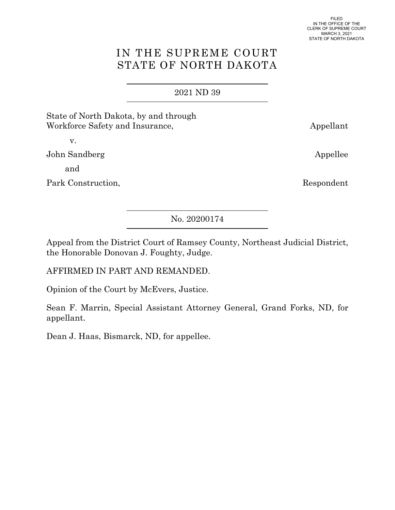# IN THE SUPREME COURT STATE OF NORTH DAKOTA

## 2021 [ND 39](http://www.ndcourts.gov/supreme-court/opinion/2021ND39)

State of North Dakota, by and through Workforce Safety and Insurance, Appellant

v.

John Sandberg Appellee

and

Park Construction, Respondent

[No. 20200174](http://www.ndcourts.gov/supreme-court/dockets/20200174)

Appeal from the District Court of Ramsey County, Northeast Judicial District, the Honorable Donovan J. Foughty, Judge.

AFFIRMED IN PART AND REMANDED.

Opinion of the Court by McEvers, Justice.

Sean F. Marrin, Special Assistant Attorney General, Grand Forks, ND, for appellant.

Dean J. Haas, Bismarck, ND, for appellee.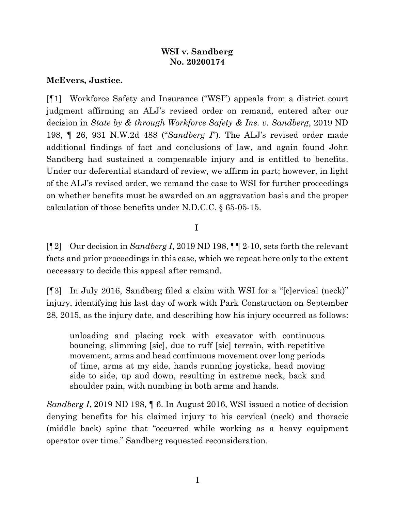## **WSI v. Sandberg [No. 20200174](http://www.ndcourts.gov/supreme-court/dockets/20200174)**

## **McEvers, Justice.**

[¶1] Workforce Safety and Insurance ("WSI") appeals from a district court judgment affirming an ALJ's revised order on remand, entered after our decision in *State by & through Workforce Safety & Ins. v. Sandberg*, [2019 ND](http://www.ndcourts.gov/supreme-court/opinion/2019ND198) [198,](http://www.ndcourts.gov/supreme-court/opinion/2019ND198) ¶ 26, [931 N.W.2d 488](http://www.ndcourts.gov/supreme-court/opinion/931NW2d488) ("*Sandberg I*"). The ALJ's revised order made additional findings of fact and conclusions of law, and again found John Sandberg had sustained a compensable injury and is entitled to benefits. Under our deferential standard of review, we affirm in part; however, in light of the ALJ's revised order, we remand the case to WSI for further proceedings on whether benefits must be awarded on an aggravation basis and the proper calculation of those benefits under N.D.C.C. § 65-05-15.

## I

[¶2] Our decision in *Sandberg I*, [2019 ND 198,](http://www.ndcourts.gov/supreme-court/opinion/2019ND198) ¶¶ 2-10, sets forth the relevant facts and prior proceedings in this case, which we repeat here only to the extent necessary to decide this appeal after remand.

[¶3] In July 2016, Sandberg filed a claim with WSI for a "[c]ervical (neck)" injury, identifying his last day of work with Park Construction on September 28, 2015, as the injury date, and describing how his injury occurred as follows:

unloading and placing rock with excavator with continuous bouncing, slimming [sic], due to ruff [sic] terrain, with repetitive movement, arms and head continuous movement over long periods of time, arms at my side, hands running joysticks, head moving side to side, up and down, resulting in extreme neck, back and shoulder pain, with numbing in both arms and hands.

*Sandberg I*, [2019 ND 198,](http://www.ndcourts.gov/supreme-court/opinion/2019ND198) **[6. In August 2016, WSI** issued a notice of decision denying benefits for his claimed injury to his cervical (neck) and thoracic (middle back) spine that "occurred while working as a heavy equipment operator over time." Sandberg requested reconsideration.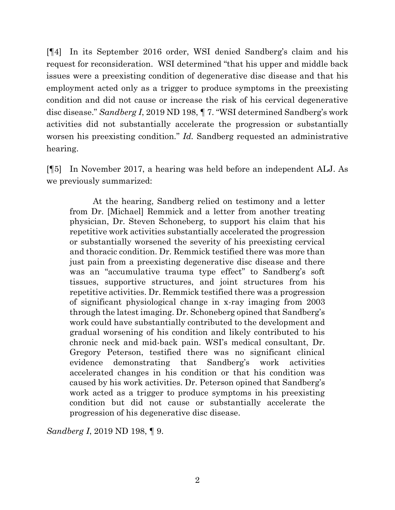[¶4] In its September 2016 order, WSI denied Sandberg's claim and his request for reconsideration. WSI determined "that his upper and middle back issues were a preexisting condition of degenerative disc disease and that his employment acted only as a trigger to produce symptoms in the preexisting condition and did not cause or increase the risk of his cervical degenerative disc disease." *Sandberg I*, [2019 ND 198,](http://www.ndcourts.gov/supreme-court/opinion/2019ND198) ¶ 7. "WSI determined Sandberg's work activities did not substantially accelerate the progression or substantially worsen his preexisting condition." *Id.* Sandberg requested an administrative hearing.

[¶5] In November 2017, a hearing was held before an independent ALJ. As we previously summarized:

At the hearing, Sandberg relied on testimony and a letter from Dr. [Michael] Remmick and a letter from another treating physician, Dr. Steven Schoneberg, to support his claim that his repetitive work activities substantially accelerated the progression or substantially worsened the severity of his preexisting cervical and thoracic condition. Dr. Remmick testified there was more than just pain from a preexisting degenerative disc disease and there was an "accumulative trauma type effect" to Sandberg's soft tissues, supportive structures, and joint structures from his repetitive activities. Dr. Remmick testified there was a progression of significant physiological change in x-ray imaging from 2003 through the latest imaging. Dr. Schoneberg opined that Sandberg's work could have substantially contributed to the development and gradual worsening of his condition and likely contributed to his chronic neck and mid-back pain. WSI's medical consultant, Dr. Gregory Peterson, testified there was no significant clinical evidence demonstrating that Sandberg's work activities accelerated changes in his condition or that his condition was caused by his work activities. Dr. Peterson opined that Sandberg's work acted as a trigger to produce symptoms in his preexisting condition but did not cause or substantially accelerate the progression of his degenerative disc disease.

*Sandberg I*, [2019 ND 198,](http://www.ndcourts.gov/supreme-court/opinion/2019ND198) ¶ 9.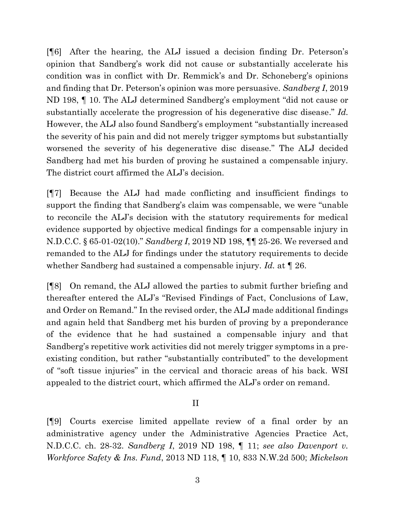[¶6] After the hearing, the ALJ issued a decision finding Dr. Peterson's opinion that Sandberg's work did not cause or substantially accelerate his condition was in conflict with Dr. Remmick's and Dr. Schoneberg's opinions and finding that Dr. Peterson's opinion was more persuasive. *Sandberg I*, [2019](http://www.ndcourts.gov/supreme-court/opinion/2019ND198) [ND 198,](http://www.ndcourts.gov/supreme-court/opinion/2019ND198) ¶ 10. The ALJ determined Sandberg's employment "did not cause or substantially accelerate the progression of his degenerative disc disease." *Id.* However, the ALJ also found Sandberg's employment "substantially increased the severity of his pain and did not merely trigger symptoms but substantially worsened the severity of his degenerative disc disease." The ALJ decided Sandberg had met his burden of proving he sustained a compensable injury. The district court affirmed the ALJ's decision.

[¶7] Because the ALJ had made conflicting and insufficient findings to support the finding that Sandberg's claim was compensable, we were "unable to reconcile the ALJ's decision with the statutory requirements for medical evidence supported by objective medical findings for a compensable injury in N.D.C.C. § 65-01-02(10)." *Sandberg I*, [2019 ND 198,](http://www.ndcourts.gov/supreme-court/opinion/2019ND198) ¶¶ 25-26. We reversed and remanded to the ALJ for findings under the statutory requirements to decide whether Sandberg had sustained a compensable injury. *Id.* at ¶ 26.

[¶8] On remand, the ALJ allowed the parties to submit further briefing and thereafter entered the ALJ's "Revised Findings of Fact, Conclusions of Law, and Order on Remand." In the revised order, the ALJ made additional findings and again held that Sandberg met his burden of proving by a preponderance of the evidence that he had sustained a compensable injury and that Sandberg's repetitive work activities did not merely trigger symptoms in a preexisting condition, but rather "substantially contributed" to the development of "soft tissue injuries" in the cervical and thoracic areas of his back. WSI appealed to the district court, which affirmed the ALJ's order on remand.

II

[¶9] Courts exercise limited appellate review of a final order by an administrative agency under the Administrative Agencies Practice Act, N.D.C.C. ch. 28-32. *Sandberg I*, [2019 ND 198,](http://www.ndcourts.gov/supreme-court/opinion/2019ND198) ¶ 11; *see also Davenport v. Workforce Safety & Ins. Fund*, [2013 ND 118,](http://www.ndcourts.gov/supreme-court/opinion/2013ND118) ¶ 10, [833 N.W.2d 500;](http://www.ndcourts.gov/supreme-court/opinion/833NW2d500) *Mickelson*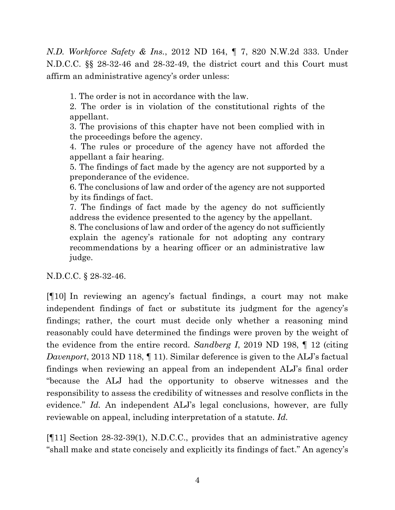*N.D. Workforce Safety & Ins.*, [2012 ND 164,](http://www.ndcourts.gov/supreme-court/opinion/2012ND164) ¶ 7, [820 N.W.2d 333.](http://www.ndcourts.gov/supreme-court/opinion/820NW2d333) Under N.D.C.C. §§ 28-32-46 and 28-32-49, the district court and this Court must affirm an administrative agency's order unless:

1. The order is not in accordance with the law.

2. The order is in violation of the constitutional rights of the appellant.

3. The provisions of this chapter have not been complied with in the proceedings before the agency.

4. The rules or procedure of the agency have not afforded the appellant a fair hearing.

5. The findings of fact made by the agency are not supported by a preponderance of the evidence.

6. The conclusions of law and order of the agency are not supported by its findings of fact.

7. The findings of fact made by the agency do not sufficiently address the evidence presented to the agency by the appellant.

8. The conclusions of law and order of the agency do not sufficiently explain the agency's rationale for not adopting any contrary recommendations by a hearing officer or an administrative law judge.

N.D.C.C. § 28-32-46.

[¶10] In reviewing an agency's factual findings, a court may not make independent findings of fact or substitute its judgment for the agency's findings; rather, the court must decide only whether a reasoning mind reasonably could have determined the findings were proven by the weight of the evidence from the entire record. *Sandberg I*, [2019 ND 198,](http://www.ndcourts.gov/supreme-court/opinion/2019ND198) ¶ 12 (citing *Davenport*, [2013 ND 118,](http://www.ndcourts.gov/supreme-court/opinion/2013ND118) 11). Similar deference is given to the ALJ's factual findings when reviewing an appeal from an independent ALJ's final order "because the ALJ had the opportunity to observe witnesses and the responsibility to assess the credibility of witnesses and resolve conflicts in the evidence." *Id.* An independent ALJ's legal conclusions, however, are fully reviewable on appeal, including interpretation of a statute. *Id.*

[¶11] Section 28-32-39(1), N.D.C.C., provides that an administrative agency "shall make and state concisely and explicitly its findings of fact." An agency's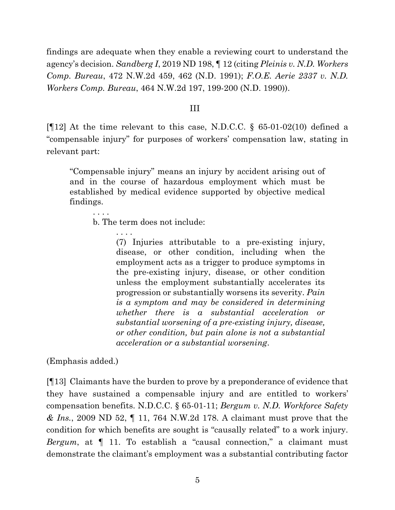findings are adequate when they enable a reviewing court to understand the agency's decision. *Sandberg I*, [2019 ND 198,](http://www.ndcourts.gov/supreme-court/opinion/2019ND198) ¶ 12 (citing *Pleinis v. N.D. Workers Comp. Bureau*, [472 N.W.2d 459,](http://www.ndcourts.gov/supreme-court/opinion/472NW2d459) 462 (N.D. 1991); *F.O.E. Aerie 2337 v. N.D. Workers Comp. Bureau*, [464 N.W.2d 197,](http://www.ndcourts.gov/supreme-court/opinion/464NW2d197) 199-200 (N.D. 1990)).

#### III

[ $[12]$  At the time relevant to this case, N.D.C.C. § 65-01-02(10) defined a "compensable injury" for purposes of workers' compensation law, stating in relevant part:

"Compensable injury" means an injury by accident arising out of and in the course of hazardous employment which must be established by medical evidence supported by objective medical findings.

. . . .

b. The term does not include:

. . . . (7) Injuries attributable to a pre-existing injury, disease, or other condition, including when the employment acts as a trigger to produce symptoms in the pre-existing injury, disease, or other condition unless the employment substantially accelerates its progression or substantially worsens its severity. *Pain is a symptom and may be considered in determining whether there is a substantial acceleration or substantial worsening of a pre-existing injury, disease, or other condition, but pain alone is not a substantial acceleration or a substantial worsening*.

(Emphasis added.)

[¶13] Claimants have the burden to prove by a preponderance of evidence that they have sustained a compensable injury and are entitled to workers' compensation benefits. N.D.C.C. § 65-01-11; *Bergum v. N.D. Workforce Safety & Ins.*, [2009 ND 52,](http://www.ndcourts.gov/supreme-court/opinion/2009ND52) ¶ 11, [764 N.W.2d 178.](http://www.ndcourts.gov/supreme-court/opinion/764NW2d178) A claimant must prove that the condition for which benefits are sought is "causally related" to a work injury. *Bergum*, at ¶ 11. To establish a "causal connection," a claimant must demonstrate the claimant's employment was a substantial contributing factor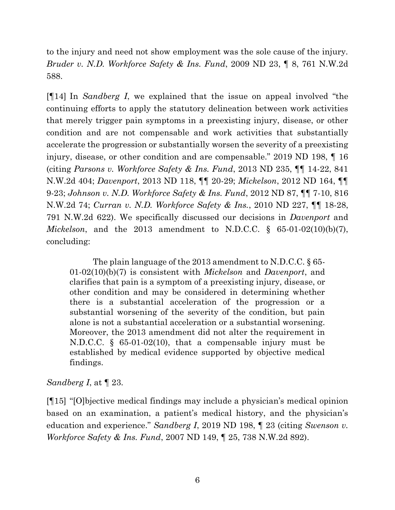to the injury and need not show employment was the sole cause of the injury. *Bruder v. N.D. Workforce Safety & Ins. Fund*, [2009 ND 23,](http://www.ndcourts.gov/supreme-court/opinion/2009ND23) ¶ 8, [761 N.W.2d](http://www.ndcourts.gov/supreme-court/opinion/761NW2d588)  [588.](http://www.ndcourts.gov/supreme-court/opinion/761NW2d588)

[¶14] In *Sandberg I*, we explained that the issue on appeal involved "the continuing efforts to apply the statutory delineation between work activities that merely trigger pain symptoms in a preexisting injury, disease, or other condition and are not compensable and work activities that substantially accelerate the progression or substantially worsen the severity of a preexisting injury, disease, or other condition and are compensable." [2019 ND 198,](http://www.ndcourts.gov/supreme-court/opinion/2019ND198) ¶ 16 (citing *Parsons v. Workforce Safety & Ins. Fund*, [2013 ND 235,](http://www.ndcourts.gov/supreme-court/opinion/2013ND235) ¶¶ 14-22, [841](http://www.ndcourts.gov/supreme-court/opinion/841NW2d404) [N.W.2d 404;](http://www.ndcourts.gov/supreme-court/opinion/841NW2d404) *Davenport*, [2013 ND 118,](http://www.ndcourts.gov/supreme-court/opinion/2013ND118) ¶¶ 20-29; *Mickelson*, [2012 ND 164,](http://www.ndcourts.gov/supreme-court/opinion/2012ND164) ¶¶ 9-23; *Johnson v. N.D. Workforce Safety & Ins. Fund*, [2012 ND 87,](http://www.ndcourts.gov/supreme-court/opinion/2012ND87) ¶¶ 7-10, [816](http://www.ndcourts.gov/supreme-court/opinion/816NW2d74) [N.W.2d 74;](http://www.ndcourts.gov/supreme-court/opinion/816NW2d74) *Curran v. N.D. Workforce Safety & Ins.*, [2010 ND 227,](http://www.ndcourts.gov/supreme-court/opinion/2010ND227) ¶¶ 18-28, [791 N.W.2d 622\).](http://www.ndcourts.gov/supreme-court/opinion/791NW2d622) We specifically discussed our decisions in *Davenport* and *Mickelson*, and the 2013 amendment to N.D.C.C. § 65-01-02(10)(b)(7), concluding:

The plain language of the 2013 amendment to N.D.C.C. § 65- 01-02(10)(b)(7) is consistent with *Mickelson* and *Davenport*, and clarifies that pain is a symptom of a preexisting injury, disease, or other condition and may be considered in determining whether there is a substantial acceleration of the progression or a substantial worsening of the severity of the condition, but pain alone is not a substantial acceleration or a substantial worsening. Moreover, the 2013 amendment did not alter the requirement in N.D.C.C. § 65-01-02(10), that a compensable injury must be established by medical evidence supported by objective medical findings.

## *Sandberg I*, at ¶ 23.

[¶15] "[O]bjective medical findings may include a physician's medical opinion based on an examination, a patient's medical history, and the physician's education and experience." *Sandberg I*, [2019 ND 198,](http://www.ndcourts.gov/supreme-court/opinion/2019ND198) ¶ 23 (citing *Swenson v. Workforce Safety & Ins. Fund*, [2007 ND 149,](http://www.ndcourts.gov/supreme-court/opinion/2007ND149) ¶ 25, [738 N.W.2d 892\).](http://www.ndcourts.gov/supreme-court/opinion/738NW2d892)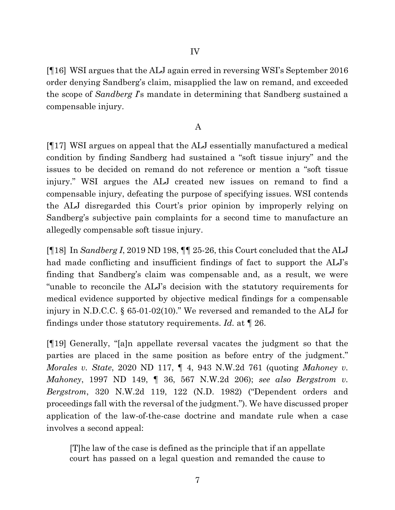[¶16] WSI argues that the ALJ again erred in reversing WSI's September 2016 order denying Sandberg's claim, misapplied the law on remand, and exceeded the scope of *Sandberg I*'s mandate in determining that Sandberg sustained a compensable injury.

## A

[¶17] WSI argues on appeal that the ALJ essentially manufactured a medical condition by finding Sandberg had sustained a "soft tissue injury" and the issues to be decided on remand do not reference or mention a "soft tissue injury." WSI argues the ALJ created new issues on remand to find a compensable injury, defeating the purpose of specifying issues. WSI contends the ALJ disregarded this Court's prior opinion by improperly relying on Sandberg's subjective pain complaints for a second time to manufacture an allegedly compensable soft tissue injury.

[¶18] In *Sandberg I*, [2019 ND 198,](http://www.ndcourts.gov/supreme-court/opinion/2019ND198) ¶¶ 25-26, this Court concluded that the ALJ had made conflicting and insufficient findings of fact to support the ALJ's finding that Sandberg's claim was compensable and, as a result, we were "unable to reconcile the ALJ's decision with the statutory requirements for medical evidence supported by objective medical findings for a compensable injury in N.D.C.C. § 65-01-02(10)." We reversed and remanded to the ALJ for findings under those statutory requirements. *Id.* at ¶ 26.

[¶19] Generally, "[a]n appellate reversal vacates the judgment so that the parties are placed in the same position as before entry of the judgment." *Morales v. State*, [2020 ND 117,](http://www.ndcourts.gov/supreme-court/opinion/2020ND117) ¶ 4, [943 N.W.2d 761](http://www.ndcourts.gov/supreme-court/opinion/943NW2d761) (quoting *Mahoney v. Mahoney*, [1997 ND 149,](http://www.ndcourts.gov/supreme-court/opinion/1997ND149) ¶ 36, 567 N.W.2d 206); *see also Bergstrom v. Bergstrom*, [320 N.W.2d 119,](http://www.ndcourts.gov/supreme-court/opinion/320NW2d119) 122 (N.D. 1982) ("Dependent orders and proceedings fall with the reversal of the judgment."). We have discussed proper application of the law-of-the-case doctrine and mandate rule when a case involves a second appeal:

[T]he law of the case is defined as the principle that if an appellate court has passed on a legal question and remanded the cause to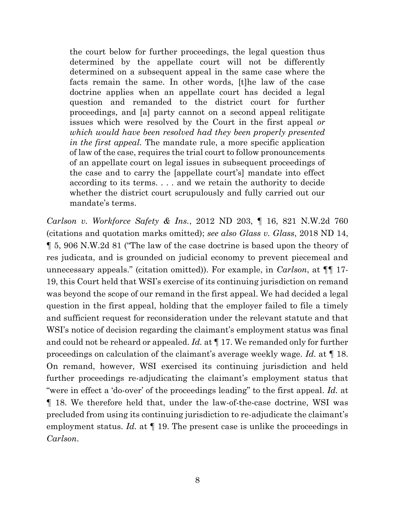the court below for further proceedings, the legal question thus determined by the appellate court will not be differently determined on a subsequent appeal in the same case where the facts remain the same. In other words, [t]he law of the case doctrine applies when an appellate court has decided a legal question and remanded to the district court for further proceedings, and [a] party cannot on a second appeal relitigate issues which were resolved by the Court in the first appeal *or which would have been resolved had they been properly presented in the first appeal.* The mandate rule, a more specific application of law of the case, requires the trial court to follow pronouncements of an appellate court on legal issues in subsequent proceedings of the case and to carry the [appellate court's] mandate into effect according to its terms. . . . and we retain the authority to decide whether the district court scrupulously and fully carried out our mandate's terms.

*Carlson v. Workforce Safety & Ins.*, [2012 ND 203,](http://www.ndcourts.gov/supreme-court/opinion/2012ND203) ¶ 16, [821 N.W.2d 760](http://www.ndcourts.gov/supreme-court/opinion/821NW2d760)  (citations and quotation marks omitted); *see also Glass v. Glass*, [2018 ND 14,](http://www.ndcourts.gov/supreme-court/opinion/2018ND14) ¶ 5, [906 N.W.2d 81](http://www.ndcourts.gov/supreme-court/opinion/906NW2d81) ("The law of the case doctrine is based upon the theory of res judicata, and is grounded on judicial economy to prevent piecemeal and unnecessary appeals." (citation omitted)). For example, in *Carlson*, at ¶¶ 17- 19, this Court held that WSI's exercise of its continuing jurisdiction on remand was beyond the scope of our remand in the first appeal. We had decided a legal question in the first appeal, holding that the employer failed to file a timely and sufficient request for reconsideration under the relevant statute and that WSI's notice of decision regarding the claimant's employment status was final and could not be reheard or appealed. *Id.* at ¶ 17. We remanded only for further proceedings on calculation of the claimant's average weekly wage. *Id.* at ¶ 18. On remand, however, WSI exercised its continuing jurisdiction and held further proceedings re-adjudicating the claimant's employment status that "were in effect a 'do-over' of the proceedings leading" to the first appeal. *Id.* at ¶ 18. We therefore held that, under the law-of-the-case doctrine, WSI was precluded from using its continuing jurisdiction to re-adjudicate the claimant's employment status. *Id.* at  $\llbracket$  19. The present case is unlike the proceedings in *Carlson*.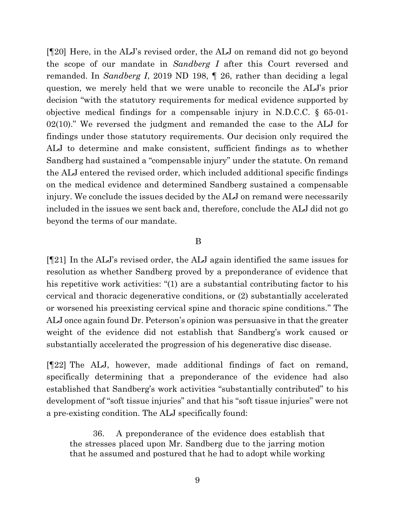[¶20] Here, in the ALJ's revised order, the ALJ on remand did not go beyond the scope of our mandate in *Sandberg I* after this Court reversed and remanded. In *Sandberg I*, [2019 ND 198,](http://www.ndcourts.gov/supreme-court/opinion/2019ND198) ¶ 26, rather than deciding a legal question, we merely held that we were unable to reconcile the ALJ's prior decision "with the statutory requirements for medical evidence supported by objective medical findings for a compensable injury in N.D.C.C. § 65-01- 02(10)." We reversed the judgment and remanded the case to the ALJ for findings under those statutory requirements. Our decision only required the ALJ to determine and make consistent, sufficient findings as to whether Sandberg had sustained a "compensable injury" under the statute. On remand the ALJ entered the revised order, which included additional specific findings on the medical evidence and determined Sandberg sustained a compensable injury. We conclude the issues decided by the ALJ on remand were necessarily included in the issues we sent back and, therefore, conclude the ALJ did not go beyond the terms of our mandate.

### B

[¶21] In the ALJ's revised order, the ALJ again identified the same issues for resolution as whether Sandberg proved by a preponderance of evidence that his repetitive work activities: "(1) are a substantial contributing factor to his cervical and thoracic degenerative conditions, or (2) substantially accelerated or worsened his preexisting cervical spine and thoracic spine conditions." The ALJ once again found Dr. Peterson's opinion was persuasive in that the greater weight of the evidence did not establish that Sandberg's work caused or substantially accelerated the progression of his degenerative disc disease.

[¶22] The ALJ, however, made additional findings of fact on remand, specifically determining that a preponderance of the evidence had also established that Sandberg's work activities "substantially contributed" to his development of "soft tissue injuries" and that his "soft tissue injuries" were not a pre-existing condition. The ALJ specifically found:

36. A preponderance of the evidence does establish that the stresses placed upon Mr. Sandberg due to the jarring motion that he assumed and postured that he had to adopt while working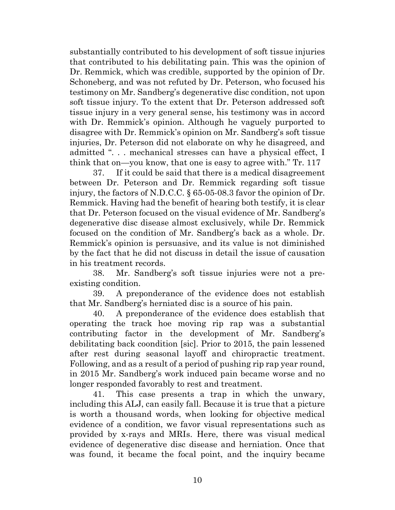substantially contributed to his development of soft tissue injuries that contributed to his debilitating pain. This was the opinion of Dr. Remmick, which was credible, supported by the opinion of Dr. Schoneberg, and was not refuted by Dr. Peterson, who focused his testimony on Mr. Sandberg's degenerative disc condition, not upon soft tissue injury. To the extent that Dr. Peterson addressed soft tissue injury in a very general sense, his testimony was in accord with Dr. Remmick's opinion. Although he vaguely purported to disagree with Dr. Remmick's opinion on Mr. Sandberg's soft tissue injuries, Dr. Peterson did not elaborate on why he disagreed, and admitted ". . . mechanical stresses can have a physical effect, I think that on—you know, that one is easy to agree with." Tr. 117

37. If it could be said that there is a medical disagreement between Dr. Peterson and Dr. Remmick regarding soft tissue injury, the factors of N.D.C.C. § 65-05-08.3 favor the opinion of Dr. Remmick. Having had the benefit of hearing both testify, it is clear that Dr. Peterson focused on the visual evidence of Mr. Sandberg's degenerative disc disease almost exclusively, while Dr. Remmick focused on the condition of Mr. Sandberg's back as a whole. Dr. Remmick's opinion is persuasive, and its value is not diminished by the fact that he did not discuss in detail the issue of causation in his treatment records.

38. Mr. Sandberg's soft tissue injuries were not a preexisting condition.

39. A preponderance of the evidence does not establish that Mr. Sandberg's herniated disc is a source of his pain.

40. A preponderance of the evidence does establish that operating the track hoe moving rip rap was a substantial contributing factor in the development of Mr. Sandberg's debilitating back coondition [sic]. Prior to 2015, the pain lessened after rest during seasonal layoff and chiropractic treatment. Following, and as a result of a period of pushing rip rap year round, in 2015 Mr. Sandberg's work induced pain became worse and no longer responded favorably to rest and treatment.

41. This case presents a trap in which the unwary, including this ALJ, can easily fall. Because it is true that a picture is worth a thousand words, when looking for objective medical evidence of a condition, we favor visual representations such as provided by x-rays and MRIs. Here, there was visual medical evidence of degenerative disc disease and herniation. Once that was found, it became the focal point, and the inquiry became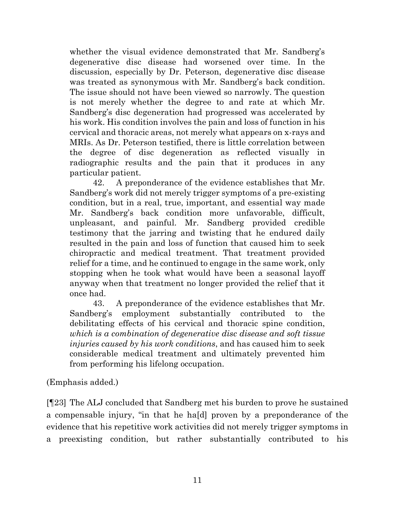whether the visual evidence demonstrated that Mr. Sandberg's degenerative disc disease had worsened over time. In the discussion, especially by Dr. Peterson, degenerative disc disease was treated as synonymous with Mr. Sandberg's back condition. The issue should not have been viewed so narrowly. The question is not merely whether the degree to and rate at which Mr. Sandberg's disc degeneration had progressed was accelerated by his work. His condition involves the pain and loss of function in his cervical and thoracic areas, not merely what appears on x-rays and MRIs. As Dr. Peterson testified, there is little correlation between the degree of disc degeneration as reflected visually in radiographic results and the pain that it produces in any particular patient.

42. A preponderance of the evidence establishes that Mr. Sandberg's work did not merely trigger symptoms of a pre-existing condition, but in a real, true, important, and essential way made Mr. Sandberg's back condition more unfavorable, difficult, unpleasant, and painful. Mr. Sandberg provided credible testimony that the jarring and twisting that he endured daily resulted in the pain and loss of function that caused him to seek chiropractic and medical treatment. That treatment provided relief for a time, and he continued to engage in the same work, only stopping when he took what would have been a seasonal layoff anyway when that treatment no longer provided the relief that it once had.

43. A preponderance of the evidence establishes that Mr. Sandberg's employment substantially contributed to the debilitating effects of his cervical and thoracic spine condition, *which is a combination of degenerative disc disease and soft tissue injuries caused by his work conditions*, and has caused him to seek considerable medical treatment and ultimately prevented him from performing his lifelong occupation.

(Emphasis added.)

[¶23] The ALJ concluded that Sandberg met his burden to prove he sustained a compensable injury, "in that he ha[d] proven by a preponderance of the evidence that his repetitive work activities did not merely trigger symptoms in a preexisting condition, but rather substantially contributed to his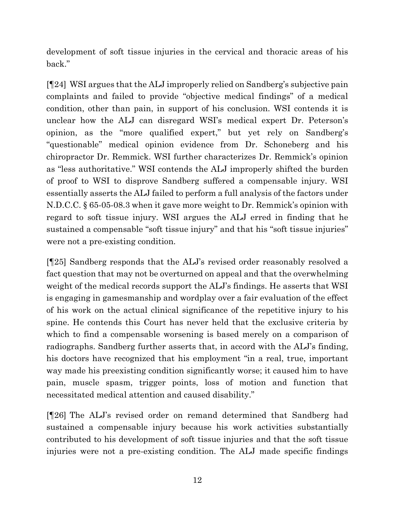development of soft tissue injuries in the cervical and thoracic areas of his back."

[¶24] WSI argues that the ALJ improperly relied on Sandberg's subjective pain complaints and failed to provide "objective medical findings" of a medical condition, other than pain, in support of his conclusion. WSI contends it is unclear how the ALJ can disregard WSI's medical expert Dr. Peterson's opinion, as the "more qualified expert," but yet rely on Sandberg's "questionable" medical opinion evidence from Dr. Schoneberg and his chiropractor Dr. Remmick. WSI further characterizes Dr. Remmick's opinion as "less authoritative." WSI contends the ALJ improperly shifted the burden of proof to WSI to disprove Sandberg suffered a compensable injury. WSI essentially asserts the ALJ failed to perform a full analysis of the factors under N.D.C.C. § 65-05-08.3 when it gave more weight to Dr. Remmick's opinion with regard to soft tissue injury. WSI argues the ALJ erred in finding that he sustained a compensable "soft tissue injury" and that his "soft tissue injuries" were not a pre-existing condition.

[¶25] Sandberg responds that the ALJ's revised order reasonably resolved a fact question that may not be overturned on appeal and that the overwhelming weight of the medical records support the ALJ's findings. He asserts that WSI is engaging in gamesmanship and wordplay over a fair evaluation of the effect of his work on the actual clinical significance of the repetitive injury to his spine. He contends this Court has never held that the exclusive criteria by which to find a compensable worsening is based merely on a comparison of radiographs. Sandberg further asserts that, in accord with the ALJ's finding, his doctors have recognized that his employment "in a real, true, important way made his preexisting condition significantly worse; it caused him to have pain, muscle spasm, trigger points, loss of motion and function that necessitated medical attention and caused disability."

[¶26] The ALJ's revised order on remand determined that Sandberg had sustained a compensable injury because his work activities substantially contributed to his development of soft tissue injuries and that the soft tissue injuries were not a pre-existing condition. The ALJ made specific findings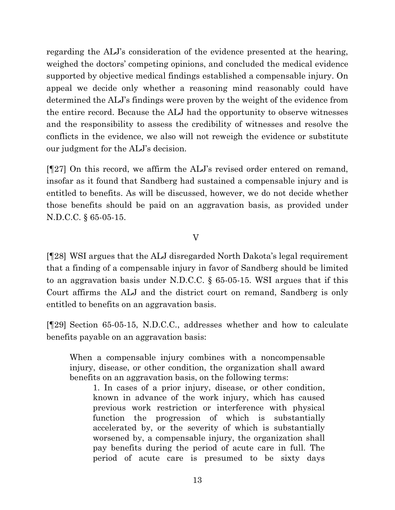regarding the ALJ's consideration of the evidence presented at the hearing, weighed the doctors' competing opinions, and concluded the medical evidence supported by objective medical findings established a compensable injury. On appeal we decide only whether a reasoning mind reasonably could have determined the ALJ's findings were proven by the weight of the evidence from the entire record. Because the ALJ had the opportunity to observe witnesses and the responsibility to assess the credibility of witnesses and resolve the conflicts in the evidence, we also will not reweigh the evidence or substitute our judgment for the ALJ's decision.

[¶27] On this record, we affirm the ALJ's revised order entered on remand, insofar as it found that Sandberg had sustained a compensable injury and is entitled to benefits. As will be discussed, however, we do not decide whether those benefits should be paid on an aggravation basis, as provided under N.D.C.C. § 65-05-15.

V

[¶28] WSI argues that the ALJ disregarded North Dakota's legal requirement that a finding of a compensable injury in favor of Sandberg should be limited to an aggravation basis under N.D.C.C. § 65-05-15. WSI argues that if this Court affirms the ALJ and the district court on remand, Sandberg is only entitled to benefits on an aggravation basis.

[¶29] Section 65-05-15, N.D.C.C., addresses whether and how to calculate benefits payable on an aggravation basis:

When a compensable injury combines with a noncompensable injury, disease, or other condition, the organization shall award benefits on an aggravation basis, on the following terms:

1. In cases of a prior injury, disease, or other condition, known in advance of the work injury, which has caused previous work restriction or interference with physical function the progression of which is substantially accelerated by, or the severity of which is substantially worsened by, a compensable injury, the organization shall pay benefits during the period of acute care in full. The period of acute care is presumed to be sixty days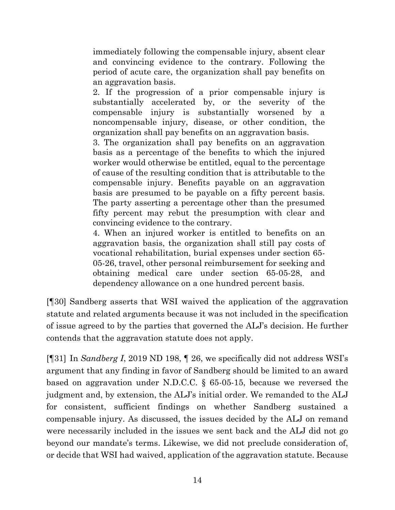immediately following the compensable injury, absent clear and convincing evidence to the contrary. Following the period of acute care, the organization shall pay benefits on an aggravation basis.

2. If the progression of a prior compensable injury is substantially accelerated by, or the severity of the compensable injury is substantially worsened by a noncompensable injury, disease, or other condition, the organization shall pay benefits on an aggravation basis.

3. The organization shall pay benefits on an aggravation basis as a percentage of the benefits to which the injured worker would otherwise be entitled, equal to the percentage of cause of the resulting condition that is attributable to the compensable injury. Benefits payable on an aggravation basis are presumed to be payable on a fifty percent basis. The party asserting a percentage other than the presumed fifty percent may rebut the presumption with clear and convincing evidence to the contrary.

4. When an injured worker is entitled to benefits on an aggravation basis, the organization shall still pay costs of vocational rehabilitation, burial expenses under section 65- 05-26, travel, other personal reimbursement for seeking and obtaining medical care under section 65-05-28, and dependency allowance on a one hundred percent basis.

[¶30] Sandberg asserts that WSI waived the application of the aggravation statute and related arguments because it was not included in the specification of issue agreed to by the parties that governed the ALJ's decision. He further contends that the aggravation statute does not apply.

[¶31] In *Sandberg I*, [2019 ND 198,](http://www.ndcourts.gov/supreme-court/opinion/2019ND198) ¶ 26, we specifically did not address WSI's argument that any finding in favor of Sandberg should be limited to an award based on aggravation under N.D.C.C. § 65-05-15, because we reversed the judgment and, by extension, the ALJ's initial order. We remanded to the ALJ for consistent, sufficient findings on whether Sandberg sustained a compensable injury. As discussed, the issues decided by the ALJ on remand were necessarily included in the issues we sent back and the ALJ did not go beyond our mandate's terms. Likewise, we did not preclude consideration of, or decide that WSI had waived, application of the aggravation statute. Because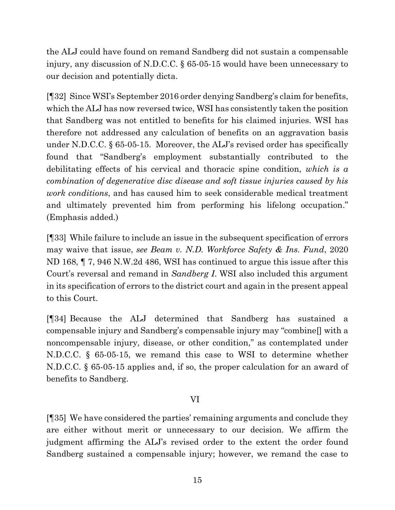the ALJ could have found on remand Sandberg did not sustain a compensable injury, any discussion of N.D.C.C. § 65-05-15 would have been unnecessary to our decision and potentially dicta.

[¶32] Since WSI's September 2016 order denying Sandberg's claim for benefits, which the ALJ has now reversed twice, WSI has consistently taken the position that Sandberg was not entitled to benefits for his claimed injuries. WSI has therefore not addressed any calculation of benefits on an aggravation basis under N.D.C.C. § 65-05-15. Moreover, the ALJ's revised order has specifically found that "Sandberg's employment substantially contributed to the debilitating effects of his cervical and thoracic spine condition, *which is a combination of degenerative disc disease and soft tissue injuries caused by his work conditions*, and has caused him to seek considerable medical treatment and ultimately prevented him from performing his lifelong occupation." (Emphasis added.)

[¶33] While failure to include an issue in the subsequent specification of errors may waive that issue, *see Beam v. N.D. Workforce Safety & Ins. Fund*, [2020](http://www.ndcourts.gov/supreme-court/opinion/2020ND168) [ND 168,](http://www.ndcourts.gov/supreme-court/opinion/2020ND168) ¶ 7, [946 N.W.2d 486,](http://www.ndcourts.gov/supreme-court/opinion/946NW2d486) WSI has continued to argue this issue after this Court's reversal and remand in *Sandberg I*. WSI also included this argument in its specification of errors to the district court and again in the present appeal to this Court.

[¶34] Because the ALJ determined that Sandberg has sustained a compensable injury and Sandberg's compensable injury may "combine[] with a noncompensable injury, disease, or other condition," as contemplated under N.D.C.C. § 65-05-15, we remand this case to WSI to determine whether N.D.C.C. § 65-05-15 applies and, if so, the proper calculation for an award of benefits to Sandberg.

## VI

[¶35] We have considered the parties' remaining arguments and conclude they are either without merit or unnecessary to our decision. We affirm the judgment affirming the ALJ's revised order to the extent the order found Sandberg sustained a compensable injury; however, we remand the case to